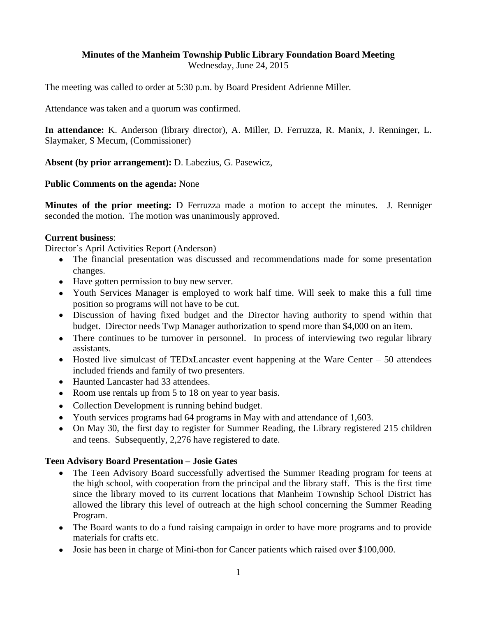# **Minutes of the Manheim Township Public Library Foundation Board Meeting**

Wednesday, June 24, 2015

The meeting was called to order at 5:30 p.m. by Board President Adrienne Miller.

Attendance was taken and a quorum was confirmed.

**In attendance:** K. Anderson (library director), A. Miller, D. Ferruzza, R. Manix, J. Renninger, L. Slaymaker, S Mecum, (Commissioner)

**Absent (by prior arrangement):** D. Labezius, G. Pasewicz,

#### **Public Comments on the agenda:** None

**Minutes of the prior meeting:** D Ferruzza made a motion to accept the minutes. J. Renniger seconded the motion. The motion was unanimously approved.

#### **Current business**:

Director's April Activities Report (Anderson)

- The financial presentation was discussed and recommendations made for some presentation changes.
- Have gotten permission to buy new server.
- Youth Services Manager is employed to work half time. Will seek to make this a full time position so programs will not have to be cut.
- Discussion of having fixed budget and the Director having authority to spend within that budget. Director needs Twp Manager authorization to spend more than \$4,000 on an item.
- There continues to be turnover in personnel. In process of interviewing two regular library assistants.
- $\bullet$  Hosted live simulcast of TEDxLancaster event happening at the Ware Center 50 attendees included friends and family of two presenters.
- Haunted Lancaster had 33 attendees.
- Room use rentals up from 5 to 18 on year to year basis.
- Collection Development is running behind budget.
- Youth services programs had 64 programs in May with and attendance of 1,603.
- On May 30, the first day to register for Summer Reading, the Library registered 215 children and teens. Subsequently, 2,276 have registered to date.

### **Teen Advisory Board Presentation – Josie Gates**

- The Teen Advisory Board successfully advertised the Summer Reading program for teens at the high school, with cooperation from the principal and the library staff. This is the first time since the library moved to its current locations that Manheim Township School District has allowed the library this level of outreach at the high school concerning the Summer Reading Program.
- The Board wants to do a fund raising campaign in order to have more programs and to provide materials for crafts etc.
- Josie has been in charge of Mini-thon for Cancer patients which raised over \$100,000.